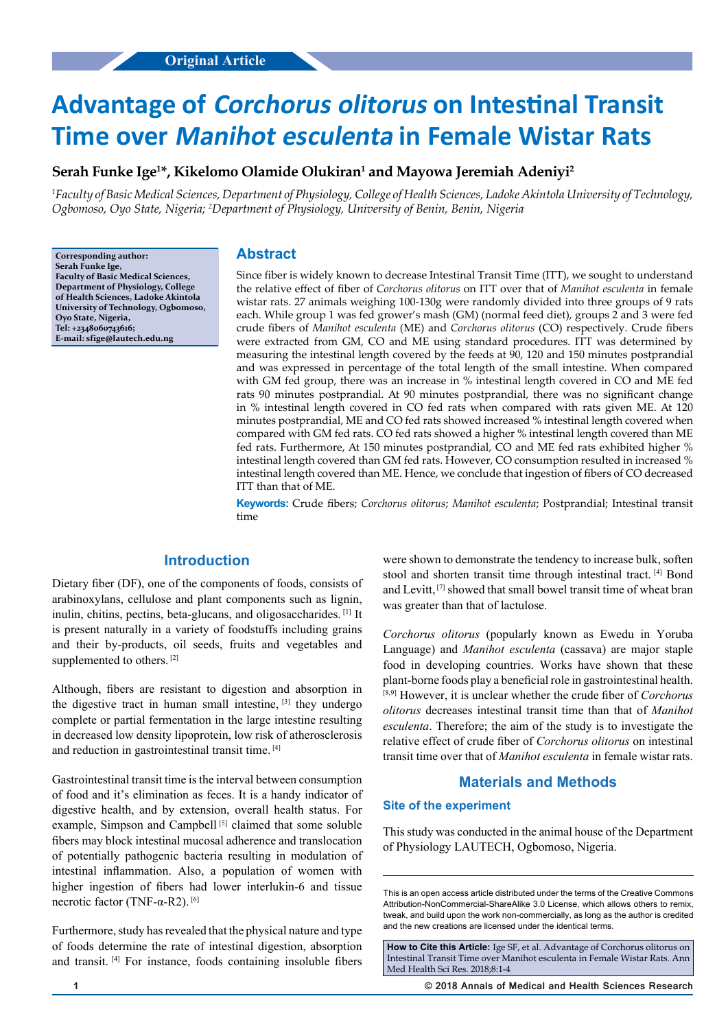# **Advantage of Corchorus olitorus on Intestinal Transit Time over Manihot esculenta in Female Wistar Rats**

# **Serah Funke Ige1 \*, Kikelomo Olamide Olukiran1 and Mayowa Jeremiah Adeniyi2**

*1 Faculty of Basic Medical Sciences, Department of Physiology, College of Health Sciences, Ladoke Akintola University of Technology, Ogbomoso, Oyo State, Nigeria; 2 Department of Physiology, University of Benin, Benin, Nigeria*

**Corresponding author: Serah Funke Ige, Faculty of Basic Medical Sciences, Department of Physiology, College of Health Sciences, Ladoke Akintola University of Technology, Ogbomoso, Oyo State, Nigeria, Tel: +2348060743616; E-mail: sfige@lautech.edu.ng**

### **Abstract**

Since fiber is widely known to decrease Intestinal Transit Time (ITT), we sought to understand the relative effect of fiber of *Corchorus olitorus* on ITT over that of *Manihot esculenta* in female wistar rats. 27 animals weighing 100-130g were randomly divided into three groups of 9 rats each. While group 1 was fed grower's mash (GM) (normal feed diet), groups 2 and 3 were fed crude fibers of *Manihot esculenta* (ME) and *Corchorus olitorus* (CO) respectively. Crude fibers were extracted from GM, CO and ME using standard procedures. ITT was determined by measuring the intestinal length covered by the feeds at 90, 120 and 150 minutes postprandial and was expressed in percentage of the total length of the small intestine. When compared with GM fed group, there was an increase in % intestinal length covered in CO and ME fed rats 90 minutes postprandial. At 90 minutes postprandial, there was no significant change in % intestinal length covered in CO fed rats when compared with rats given ME. At 120 minutes postprandial, ME and CO fed rats showed increased % intestinal length covered when compared with GM fed rats. CO fed rats showed a higher % intestinal length covered than ME fed rats. Furthermore, At 150 minutes postprandial, CO and ME fed rats exhibited higher % intestinal length covered than GM fed rats. However, CO consumption resulted in increased % intestinal length covered than ME. Hence, we conclude that ingestion of fibers of CO decreased ITT than that of ME.

**Keywords:** Crude fibers; *Corchorus olitorus*; *Manihot esculenta*; Postprandial; Intestinal transit time

## **Introduction**

Dietary fiber (DF), one of the components of foods, consists of arabinoxylans, cellulose and plant components such as lignin, inulin, chitins, pectins, beta-glucans, and oligosaccharides. [1] It is present naturally in a variety of foodstuffs including grains and their by-products, oil seeds, fruits and vegetables and supplemented to others.<sup>[2]</sup>

Although, fibers are resistant to digestion and absorption in the digestive tract in human small intestine,  $[3]$  they undergo complete or partial fermentation in the large intestine resulting in decreased low density lipoprotein, low risk of atherosclerosis and reduction in gastrointestinal transit time. [4]

Gastrointestinal transit time is the interval between consumption of food and it's elimination as feces. It is a handy indicator of digestive health, and by extension, overall health status. For example, Simpson and Campbell<sup>[5]</sup> claimed that some soluble fibers may block intestinal mucosal adherence and translocation of potentially pathogenic bacteria resulting in modulation of intestinal inflammation. Also, a population of women with higher ingestion of fibers had lower interlukin-6 and tissue necrotic factor (TNF-α-R2). [6]

Furthermore, study has revealed that the physical nature and type of foods determine the rate of intestinal digestion, absorption and transit. [4] For instance, foods containing insoluble fibers were shown to demonstrate the tendency to increase bulk, soften stool and shorten transit time through intestinal tract. [4] Bond and Levitt, [7] showed that small bowel transit time of wheat bran was greater than that of lactulose.

*Corchorus olitorus* (popularly known as Ewedu in Yoruba Language) and *Manihot esculenta* (cassava) are major staple food in developing countries. Works have shown that these plant-borne foods play a beneficial role in gastrointestinal health. [8,9] However, it is unclear whether the crude fiber of *Corchorus olitorus* decreases intestinal transit time than that of *Manihot esculenta*. Therefore; the aim of the study is to investigate the relative effect of crude fiber of *Corchorus olitorus* on intestinal transit time over that of *Manihot esculenta* in female wistar rats.

# **Materials and Methods**

## **Site of the experiment**

This study was conducted in the animal house of the Department of Physiology LAUTECH, Ogbomoso, Nigeria.

**How to Cite this Article:** Ige SF, et al. Advantage of Corchorus olitorus on Intestinal Transit Time over Manihot esculenta in Female Wistar Rats. Ann Med Health Sci Res. 2018;8:1-4

**1 © 2018 Annals of Medical and Health Sciences Research** 

This is an open access article distributed under the terms of the Creative Commons Attribution-NonCommercial-ShareAlike 3.0 License, which allows others to remix, tweak, and build upon the work non‑commercially, as long as the author is credited and the new creations are licensed under the identical terms.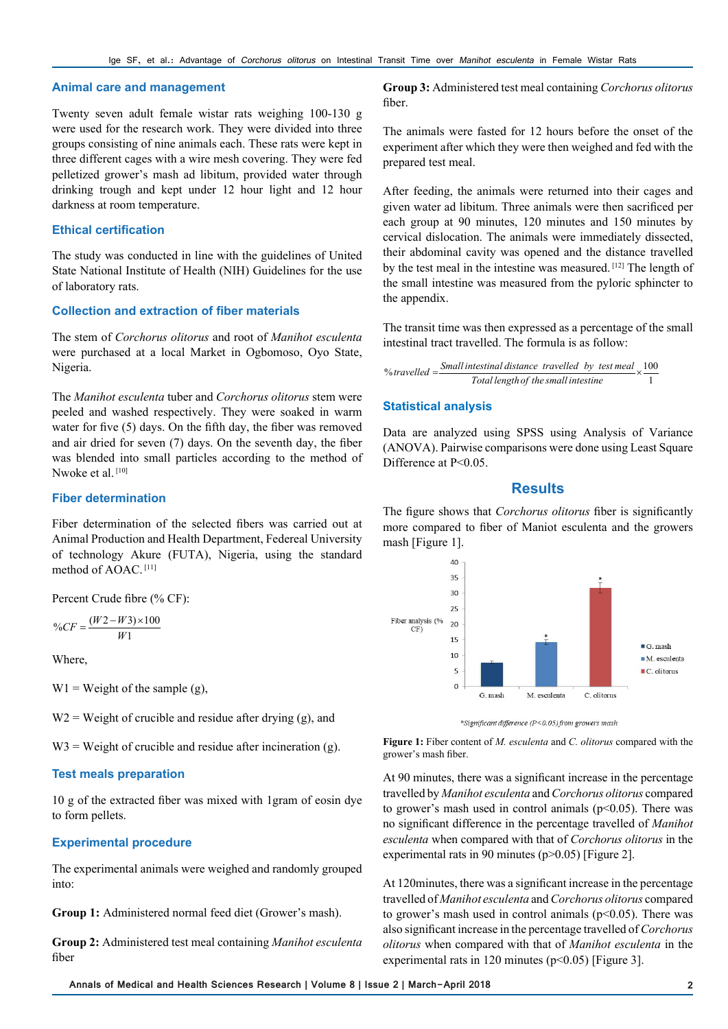#### **Animal care and management**

Twenty seven adult female wistar rats weighing 100-130 g were used for the research work. They were divided into three groups consisting of nine animals each. These rats were kept in three different cages with a wire mesh covering. They were fed pelletized grower's mash ad libitum, provided water through drinking trough and kept under 12 hour light and 12 hour darkness at room temperature.

#### **Ethical certification**

The study was conducted in line with the guidelines of United State National Institute of Health (NIH) Guidelines for the use of laboratory rats.

## **Collection and extraction of fiber materials**

The stem of *Corchorus olitorus* and root of *Manihot esculenta* were purchased at a local Market in Ogbomoso, Oyo State, Nigeria.

The *Manihot esculenta* tuber and *Corchorus olitorus* stem were peeled and washed respectively. They were soaked in warm water for five (5) days. On the fifth day, the fiber was removed and air dried for seven (7) days. On the seventh day, the fiber was blended into small particles according to the method of Nwoke et al.<sup>[10]</sup>

#### **Fiber determination**

Fiber determination of the selected fibers was carried out at Animal Production and Health Department, Federeal University of technology Akure (FUTA), Nigeria, using the standard method of AOAC. [11]

Percent Crude fibre (% CF):

$$
\%CF = \frac{(W2 - W3) \times 100}{W1}
$$

Where,

 $W1 = Weight of the sample (g)$ ,

 $W2$  = Weight of crucible and residue after drying (g), and

 $W3$  = Weight of crucible and residue after incineration (g).

#### **Test meals preparation**

10 g of the extracted fiber was mixed with 1gram of eosin dye to form pellets.

#### **Experimental procedure**

The experimental animals were weighed and randomly grouped into:

**Group 1:** Administered normal feed diet (Grower's mash).

**Group 2:** Administered test meal containing *Manihot esculenta* fiber

**Group 3:** Administered test meal containing *Corchorus olitorus* fiber.

The animals were fasted for 12 hours before the onset of the experiment after which they were then weighed and fed with the prepared test meal.

After feeding, the animals were returned into their cages and given water ad libitum. Three animals were then sacrificed per each group at 90 minutes, 120 minutes and 150 minutes by cervical dislocation. The animals were immediately dissected, their abdominal cavity was opened and the distance travelled by the test meal in the intestine was measured. [12] The length of the small intestine was measured from the pyloric sphincter to the appendix.

The transit time was then expressed as a percentage of the small intestinal tract travelled. The formula is as follow:

% travelled = 
$$
\frac{\text{Small intestinal distance travelled by test meal}}{\text{Total length of the small inststine}} \times \frac{100}{1}
$$

## **Statistical analysis**

Data are analyzed using SPSS using Analysis of Variance (ANOVA). Pairwise comparisons were done using Least Square Difference at P<0.05.

## **Results**

The figure shows that *Corchorus olitorus* fiber is significantly more compared to fiber of Maniot esculenta and the growers mash [Figure 1].



\*Significant difference (P<0.05) from growers mash

**Figure 1:** Fiber content of *M. esculenta* and *C. olitorus* compared with the grower's mash fiber.

At 90 minutes, there was a significant increase in the percentage travelled by *Manihot esculenta* and *Corchorus olitorus* compared to grower's mash used in control animals  $(p<0.05)$ . There was no significant difference in the percentage travelled of *Manihot esculenta* when compared with that of *Corchorus olitorus* in the experimental rats in 90 minutes ( $p > 0.05$ ) [Figure 2].

At 120minutes, there was a significant increase in the percentage travelled of *Manihot esculenta* and *Corchorus olitorus* compared to grower's mash used in control animals  $(p<0.05)$ . There was also significant increase in the percentage travelled of *Corchorus olitorus* when compared with that of *Manihot esculenta* in the experimental rats in 120 minutes ( $p<0.05$ ) [Figure 3].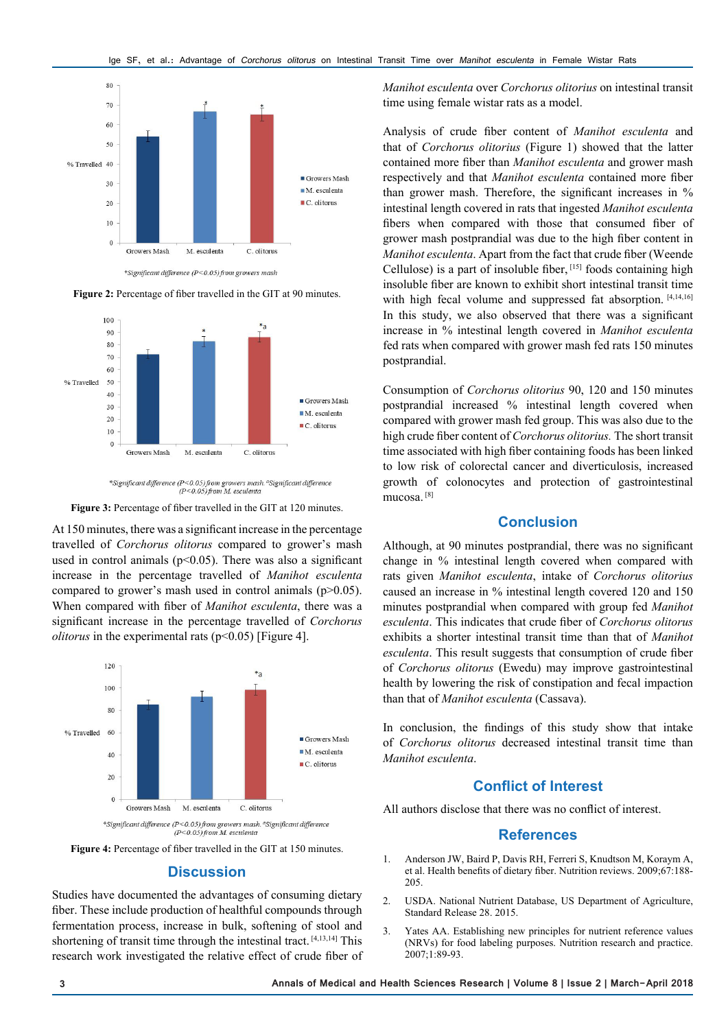

Figure 2: Percentage of fiber travelled in the GIT at 90 minutes.



*\*Significant difference* ( $P < 0.05$ ) from growers mash. <sup>a</sup>Significant difference ( $P < 0.05$ ) from M. esculenta

**Figure 3:** Percentage of fiber travelled in the GIT at 120 minutes.

At 150 minutes, there was a significant increase in the percentage travelled of *Corchorus olitorus* compared to grower's mash used in control animals ( $p$ <0.05). There was also a significant increase in the percentage travelled of *Manihot esculenta* compared to grower's mash used in control animals (p>0.05). When compared with fiber of *Manihot esculenta*, there was a significant increase in the percentage travelled of *Corchorus olitorus* in the experimental rats (p<0.05) [Figure 4].



**Figure 4:** Percentage of fiber travelled in the GIT at 150 minutes.

### **Discussion**

Studies have documented the advantages of consuming dietary fiber. These include production of healthful compounds through fermentation process, increase in bulk, softening of stool and shortening of transit time through the intestinal tract. [4,13,14] This research work investigated the relative effect of crude fiber of *Manihot esculenta* over *Corchorus olitorius* on intestinal transit time using female wistar rats as a model.

Analysis of crude fiber content of *Manihot esculenta* and that of *Corchorus olitorius* (Figure 1) showed that the latter contained more fiber than *Manihot esculenta* and grower mash respectively and that *Manihot esculenta* contained more fiber than grower mash. Therefore, the significant increases in % intestinal length covered in rats that ingested *Manihot esculenta* fibers when compared with those that consumed fiber of grower mash postprandial was due to the high fiber content in *Manihot esculenta*. Apart from the fact that crude fiber (Weende Cellulose) is a part of insoluble fiber, [15] foods containing high insoluble fiber are known to exhibit short intestinal transit time with high fecal volume and suppressed fat absorption. [4,14,16] In this study, we also observed that there was a significant increase in % intestinal length covered in *Manihot esculenta* fed rats when compared with grower mash fed rats 150 minutes postprandial.

Consumption of *Corchorus olitorius* 90, 120 and 150 minutes postprandial increased % intestinal length covered when compared with grower mash fed group. This was also due to the high crude fiber content of *Corchorus olitorius.* The short transit time associated with high fiber containing foods has been linked to low risk of colorectal cancer and diverticulosis, increased growth of colonocytes and protection of gastrointestinal mucosa. [8]

## **Conclusion**

Although, at 90 minutes postprandial, there was no significant change in % intestinal length covered when compared with rats given *Manihot esculenta*, intake of *Corchorus olitorius*  caused an increase in % intestinal length covered 120 and 150 minutes postprandial when compared with group fed *Manihot esculenta*. This indicates that crude fiber of *Corchorus olitorus* exhibits a shorter intestinal transit time than that of *Manihot esculenta*. This result suggests that consumption of crude fiber of *Corchorus olitorus* (Ewedu) may improve gastrointestinal health by lowering the risk of constipation and fecal impaction than that of *Manihot esculenta* (Cassava).

In conclusion, the findings of this study show that intake of *Corchorus olitorus* decreased intestinal transit time than *Manihot esculenta*.

## **Conflict of Interest**

All authors disclose that there was no conflict of interest.

## **References**

- 1. Anderson JW, Baird P, Davis RH, Ferreri S, Knudtson M, Koraym A, et al. Health benefits of dietary fiber. Nutrition reviews. 2009;67:188- 205.
- 2. USDA. National Nutrient Database, US Department of Agriculture, Standard Release 28. 2015.
- 3. Yates AA. Establishing new principles for nutrient reference values (NRVs) for food labeling purposes. Nutrition research and practice. 2007;1:89-93.